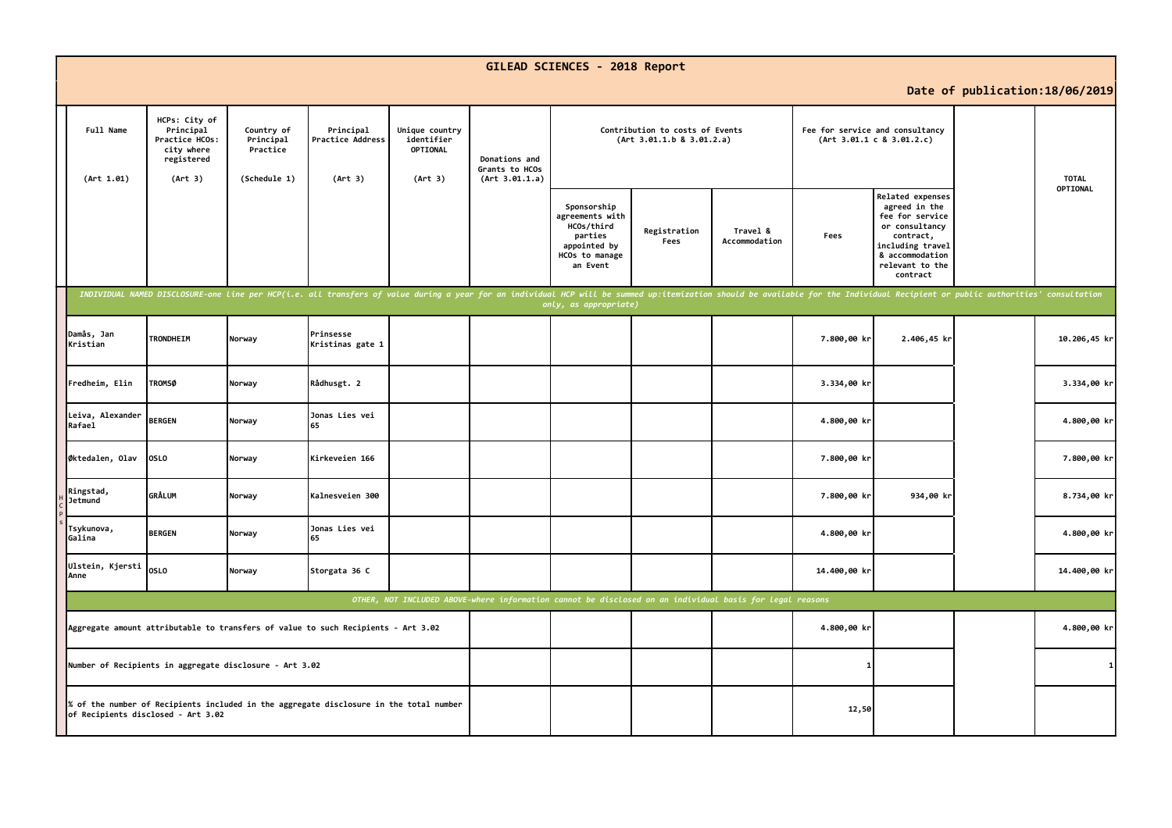|                                                                                                                              |                                                                                     |                                                     |                                                                                                                                                                                                                                |                                                     |                                                   | GILEAD SCIENCES - 2018 Report                                                                                                |                      |                           |              |                                                                                                                                                                  |                                 |              |
|------------------------------------------------------------------------------------------------------------------------------|-------------------------------------------------------------------------------------|-----------------------------------------------------|--------------------------------------------------------------------------------------------------------------------------------------------------------------------------------------------------------------------------------|-----------------------------------------------------|---------------------------------------------------|------------------------------------------------------------------------------------------------------------------------------|----------------------|---------------------------|--------------|------------------------------------------------------------------------------------------------------------------------------------------------------------------|---------------------------------|--------------|
|                                                                                                                              |                                                                                     |                                                     |                                                                                                                                                                                                                                |                                                     |                                                   |                                                                                                                              |                      |                           |              |                                                                                                                                                                  | Date of publication: 18/06/2019 |              |
| Full Name<br>(Art 1.01)                                                                                                      | HCPs: City of<br>Principal<br>Practice HCOs:<br>city where<br>registered<br>(Art 3) | Country of<br>Principal<br>Practice<br>(Schedule 1) | Principal<br>Practice Address<br>(Art 3)                                                                                                                                                                                       | Unique country<br>identifier<br>OPTIONAL<br>(Art 3) | Donations and<br>Grants to HCOs<br>(Art 3.01.1.a) | Contribution to costs of Events<br>Fee for service and consultancy<br>(Art 3.01.1.b 8 3.01.2.a)<br>(Art 3.01.1 c 8 3.01.2.c) |                      |                           |              |                                                                                                                                                                  | <b>TOTAL</b>                    |              |
|                                                                                                                              |                                                                                     |                                                     |                                                                                                                                                                                                                                |                                                     |                                                   | Sponsorship<br>agreements with<br>HCOs/third<br>parties<br>appointed by<br>HCOs to manage<br>an Event                        | Registration<br>Fees | Travel &<br>Accommodation | Fees         | <b>Related expenses</b><br>agreed in the<br>fee for service<br>or consultancy<br>contract,<br>including travel<br>& accommodation<br>relevant to the<br>contract |                                 | OPTIONAL     |
|                                                                                                                              |                                                                                     |                                                     | INDIVIDUAL NAMED DISCLOSURE-one line per HCP(i.e. all transfers of value during a year for an individual HCP will be summed up:itemization should be available for the Individual Recipient or public authorities' consultatio |                                                     |                                                   | only, as appropriate)                                                                                                        |                      |                           |              |                                                                                                                                                                  |                                 |              |
| Damås, Jan<br>Kristian                                                                                                       | TRONDHEIM                                                                           | Norway                                              | Prinsesse<br>Kristinas gate 1                                                                                                                                                                                                  |                                                     |                                                   |                                                                                                                              |                      |                           | 7.800,00 kr  | 2.406,45 kr                                                                                                                                                      |                                 | 10.206,45 kr |
| Fredheim, Elin                                                                                                               | <b>TROMSØ</b>                                                                       | Norway                                              | Rådhusgt. 2                                                                                                                                                                                                                    |                                                     |                                                   |                                                                                                                              |                      |                           | 3.334,00 kr  |                                                                                                                                                                  |                                 | 3.334,00 kr  |
| Leiva, Alexander<br>Rafael                                                                                                   | <b>BERGEN</b>                                                                       | Norway                                              | Jonas Lies vei<br>65                                                                                                                                                                                                           |                                                     |                                                   |                                                                                                                              |                      |                           | 4.800,00 kr  |                                                                                                                                                                  |                                 | 4.800,00 kr  |
| Øktedalen, Olav                                                                                                              | <b>OSLO</b>                                                                         | Norway                                              | Kirkeveien 166                                                                                                                                                                                                                 |                                                     |                                                   |                                                                                                                              |                      |                           | 7.800,00 kr  |                                                                                                                                                                  |                                 | 7.800,00 kr  |
| Ringstad,<br>Jetmund                                                                                                         | <b>GRÅLUM</b>                                                                       | Norway                                              | Kalnesveien 300                                                                                                                                                                                                                |                                                     |                                                   |                                                                                                                              |                      |                           | 7.800,00 kr  | 934,00 kr                                                                                                                                                        |                                 | 8.734,00 kr  |
| Tsykunova,<br>Galina                                                                                                         | <b>BERGEN</b>                                                                       | Norway                                              | Jonas Lies vei<br>65                                                                                                                                                                                                           |                                                     |                                                   |                                                                                                                              |                      |                           | 4.800,00 kr  |                                                                                                                                                                  |                                 | 4.800,00 kr  |
| Ulstein, Kjersti<br>Anne                                                                                                     | <b>OSLO</b>                                                                         | Norway                                              | Storgata 36 C                                                                                                                                                                                                                  |                                                     |                                                   |                                                                                                                              |                      |                           | 14.400,00 kr |                                                                                                                                                                  |                                 | 14.400,00 kr |
| OTHER, NOT INCLUDED ABOVE-where information cannot be disclosed on an individual basis for legal reasons                     |                                                                                     |                                                     |                                                                                                                                                                                                                                |                                                     |                                                   |                                                                                                                              |                      |                           |              |                                                                                                                                                                  |                                 |              |
| Aggregate amount attributable to transfers of value to such Recipients - Art 3.02                                            |                                                                                     |                                                     |                                                                                                                                                                                                                                |                                                     |                                                   |                                                                                                                              |                      | 4.800,00 kr               |              |                                                                                                                                                                  | 4.800,00 kr                     |              |
| Number of Recipients in aggregate disclosure - Art 3.02                                                                      |                                                                                     |                                                     |                                                                                                                                                                                                                                |                                                     |                                                   |                                                                                                                              |                      |                           |              |                                                                                                                                                                  |                                 | $\mathbf{1}$ |
| % of the number of Recipients included in the aggregate disclosure in the total number<br>of Recipients disclosed - Art 3.02 |                                                                                     |                                                     |                                                                                                                                                                                                                                |                                                     |                                                   |                                                                                                                              |                      | 12,50                     |              |                                                                                                                                                                  |                                 |              |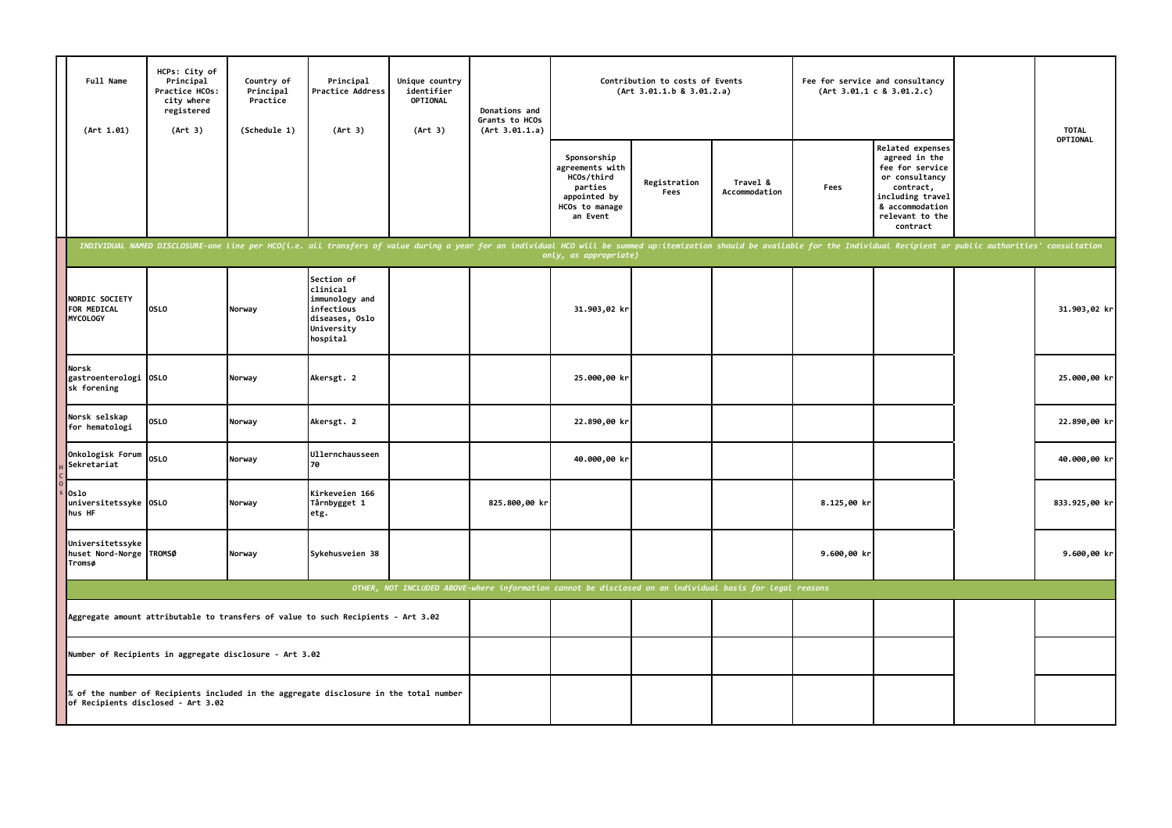| Full Name<br>(Art 1.01)                                                                                                      | HCPs: City of<br>Principal<br>Practice HCOs:<br>city where<br>registered<br>(Art 3) | Country of<br>Principal<br>Practice<br>(Schedule 1) | Principal<br>Practice Address<br>(Art 3)                                                                                                                                                                                       | Unique country<br>identifier<br>OPTIONAL<br>(Art 3) | Donations and<br>Grants to HCOs<br>(Art 3.01.1.a) | Contribution to costs of Events<br>(Art 3.01.1.b 8 3.01.2.a)                                          |                      |                           | Fee for service and consultancy<br>(Art 3.01.1 c 8 3.01.2.c) |                                                                                                                                                                  | <b>TOTAL</b>  |
|------------------------------------------------------------------------------------------------------------------------------|-------------------------------------------------------------------------------------|-----------------------------------------------------|--------------------------------------------------------------------------------------------------------------------------------------------------------------------------------------------------------------------------------|-----------------------------------------------------|---------------------------------------------------|-------------------------------------------------------------------------------------------------------|----------------------|---------------------------|--------------------------------------------------------------|------------------------------------------------------------------------------------------------------------------------------------------------------------------|---------------|
|                                                                                                                              |                                                                                     |                                                     |                                                                                                                                                                                                                                |                                                     |                                                   | Sponsorship<br>agreements with<br>HCOs/third<br>parties<br>appointed by<br>HCOs to manage<br>an Event | Registration<br>Fees | Travel &<br>Accommodation | Fees                                                         | <b>Related expenses</b><br>agreed in the<br>fee for service<br>or consultancy<br>contract,<br>including travel<br>& accommodation<br>relevant to the<br>contract | OPTIONAL      |
|                                                                                                                              |                                                                                     |                                                     | INDIVIDUAL NAMED DISCLOSURE-one line per HCO(i.e. all transfers of value during a year for an individual HCO will be summed up:itemization should be available for the Individual Recipient or public authorities' consultatio |                                                     |                                                   | only, as appropriate)                                                                                 |                      |                           |                                                              |                                                                                                                                                                  |               |
| NORDIC SOCIETY<br>FOR MEDICAL<br><b>MYCOLOGY</b>                                                                             | <b>OSLO</b>                                                                         | Norway                                              | Section of<br>clinical<br>immunology and<br>infectious<br>diseases, Oslo<br>University<br>hospital                                                                                                                             |                                                     |                                                   | 31.903,02 kr                                                                                          |                      |                           |                                                              |                                                                                                                                                                  | 31.903,02 kr  |
| Norsk<br>gastroenterologi OSLO<br>sk forening                                                                                |                                                                                     | Norway                                              | Akersgt. 2                                                                                                                                                                                                                     |                                                     |                                                   | 25.000,00 kr                                                                                          |                      |                           |                                                              |                                                                                                                                                                  | 25.000,00 kr  |
| Norsk selskap<br>for hematologi                                                                                              | <b>OSLO</b>                                                                         | Norway                                              | Akersgt. 2                                                                                                                                                                                                                     |                                                     |                                                   | 22.890,00 kr                                                                                          |                      |                           |                                                              |                                                                                                                                                                  | 22.890,00 kr  |
| Onkologisk Forum<br>Sekretariat                                                                                              | <b>OSLO</b>                                                                         | Norway                                              | <b>Ullernchausseen</b><br>70                                                                                                                                                                                                   |                                                     |                                                   | 40.000,00 kr                                                                                          |                      |                           |                                                              |                                                                                                                                                                  | 40.000,00 kr  |
| 0slo<br>universitetssyke OSLO<br>hus HF                                                                                      |                                                                                     | Norway                                              | Kirkeveien 166<br>Tårnbygget 1<br>etg.                                                                                                                                                                                         |                                                     | 825.800,00 kr                                     |                                                                                                       |                      |                           | 8.125,00 kr                                                  |                                                                                                                                                                  | 833.925,00 kr |
| Universitetssyke<br>huset Nord-Norge TROMSØ<br>Tromsø                                                                        |                                                                                     | Norway                                              | Sykehusveien 38                                                                                                                                                                                                                |                                                     |                                                   |                                                                                                       |                      |                           | 9.600,00 kr                                                  |                                                                                                                                                                  | $9.600,00$ kr |
| OTHER, NOT INCLUDED ABOVE-where information cannot be disclosed on an individual basis for legal reasons                     |                                                                                     |                                                     |                                                                                                                                                                                                                                |                                                     |                                                   |                                                                                                       |                      |                           |                                                              |                                                                                                                                                                  |               |
| Aggregate amount attributable to transfers of value to such Recipients - Art 3.02                                            |                                                                                     |                                                     |                                                                                                                                                                                                                                |                                                     |                                                   |                                                                                                       |                      |                           |                                                              |                                                                                                                                                                  |               |
| Number of Recipients in aggregate disclosure - Art 3.02                                                                      |                                                                                     |                                                     |                                                                                                                                                                                                                                |                                                     |                                                   |                                                                                                       |                      |                           |                                                              |                                                                                                                                                                  |               |
| % of the number of Recipients included in the aggregate disclosure in the total number<br>of Recipients disclosed - Art 3.02 |                                                                                     |                                                     |                                                                                                                                                                                                                                |                                                     |                                                   |                                                                                                       |                      |                           |                                                              |                                                                                                                                                                  |               |